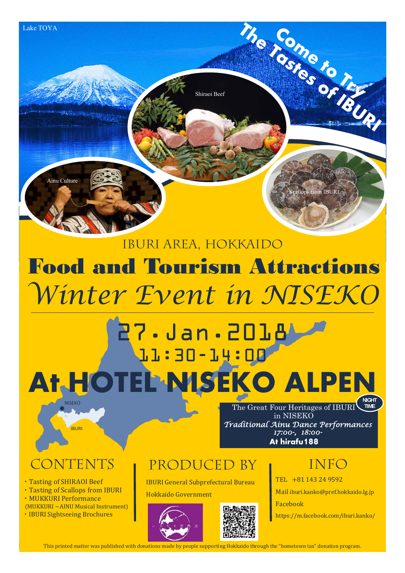

## Food and Tourism Attractions Iburi Area, Hokkaido *Winter Event in NISEKO*

### **NISEKO** 27.Jan.2018 11:30-14:00 **At HOTEL NISEKO ALPEN NIGHT**

**At hirafu188** *Traditional Ainu Dance Performances 17:00-, 18:00-* The Great Four Heritages of IBURI in NISEKO **TIME**

IBURI

• Tasting of SHIRAOI Beef • Tasting of Scallops from IBURI ・MUKKURI Performance  $(MUKKURI \sim AINU$  Musical Instrument) • IBURI Sightseeing Brochures

### CONTENTS PRODUCED BY INFO

IBURI General Subprefectural Bureau

Hokkaido Government





TEL +81 143 24 9592 Mail iburi.kanko@pref.hokkaido.lg.jp Facebook https://m.facebook.com/iburi.kanko/

This printed matter was published with donations made by people supporting Hokkaido through the "hometown tax" donation program.